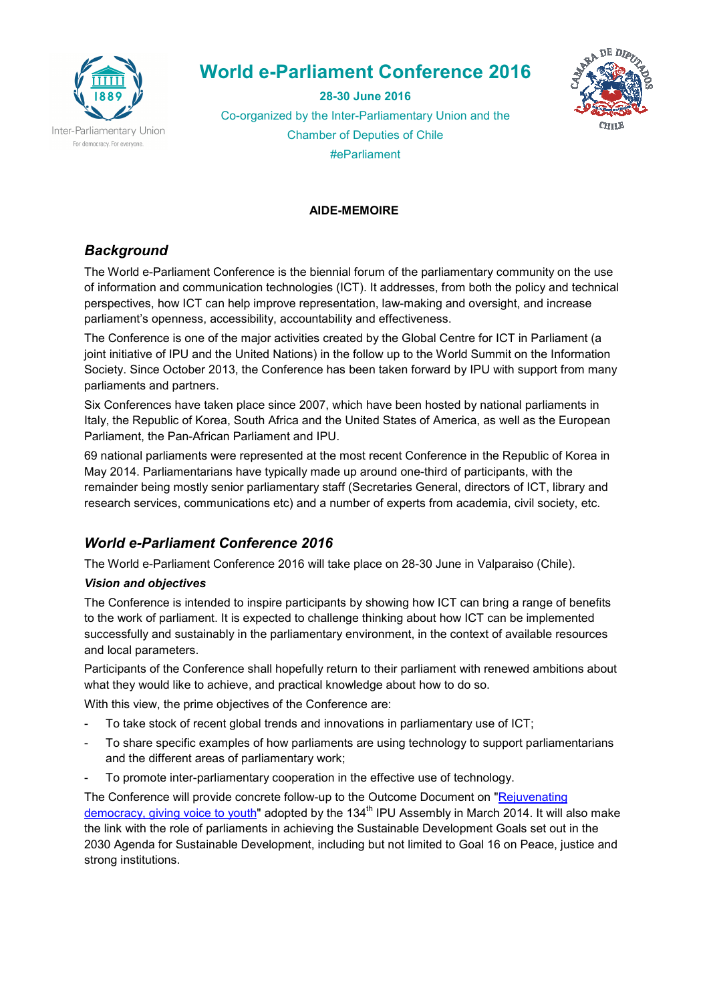

# **World e-Parliament Conference 2016**

**28-30 June 2016**  Co-organized by the Inter-Parliamentary Union and the Chamber of Deputies of Chile #eParliament



# **AIDE-MEMOIRE**

# *Background*

The World e-Parliament Conference is the biennial forum of the parliamentary community on the use of information and communication technologies (ICT). It addresses, from both the policy and technical perspectives, how ICT can help improve representation, law-making and oversight, and increase parliament's openness, accessibility, accountability and effectiveness.

The Conference is one of the major activities created by the Global Centre for ICT in Parliament (a joint initiative of IPU and the United Nations) in the follow up to the World Summit on the Information Society. Since October 2013, the Conference has been taken forward by IPU with support from many parliaments and partners.

Six Conferences have taken place since 2007, which have been hosted by national parliaments in Italy, the Republic of Korea, South Africa and the United States of America, as well as the European Parliament, the Pan-African Parliament and IPU.

69 national parliaments were represented at the most recent Conference in the Republic of Korea in May 2014. Parliamentarians have typically made up around one-third of participants, with the remainder being mostly senior parliamentary staff (Secretaries General, directors of ICT, library and research services, communications etc) and a number of experts from academia, civil society, etc.

# *World e-Parliament Conference 2016*

The World e-Parliament Conference 2016 will take place on 28-30 June in Valparaiso (Chile).

# *Vision and objectives*

The Conference is intended to inspire participants by showing how ICT can bring a range of benefits to the work of parliament. It is expected to challenge thinking about how ICT can be implemented successfully and sustainably in the parliamentary environment, in the context of available resources and local parameters.

Participants of the Conference shall hopefully return to their parliament with renewed ambitions about what they would like to achieve, and practical knowledge about how to do so.

With this view, the prime objectives of the Conference are:

- To take stock of recent global trends and innovations in parliamentary use of ICT;
- To share specific examples of how parliaments are using technology to support parliamentarians and the different areas of parliamentary work;
- To promote inter-parliamentary cooperation in the effective use of technology.

The Conference will provide concrete follow-up to the Outcome Document on "Rejuvenating democracy, giving voice to youth" adopted by the 134<sup>th</sup> IPU Assembly in March 2014. It will also make the link with the role of parliaments in achieving the Sustainable Development Goals set out in the 2030 Agenda for Sustainable Development, including but not limited to Goal 16 on Peace, justice and strong institutions.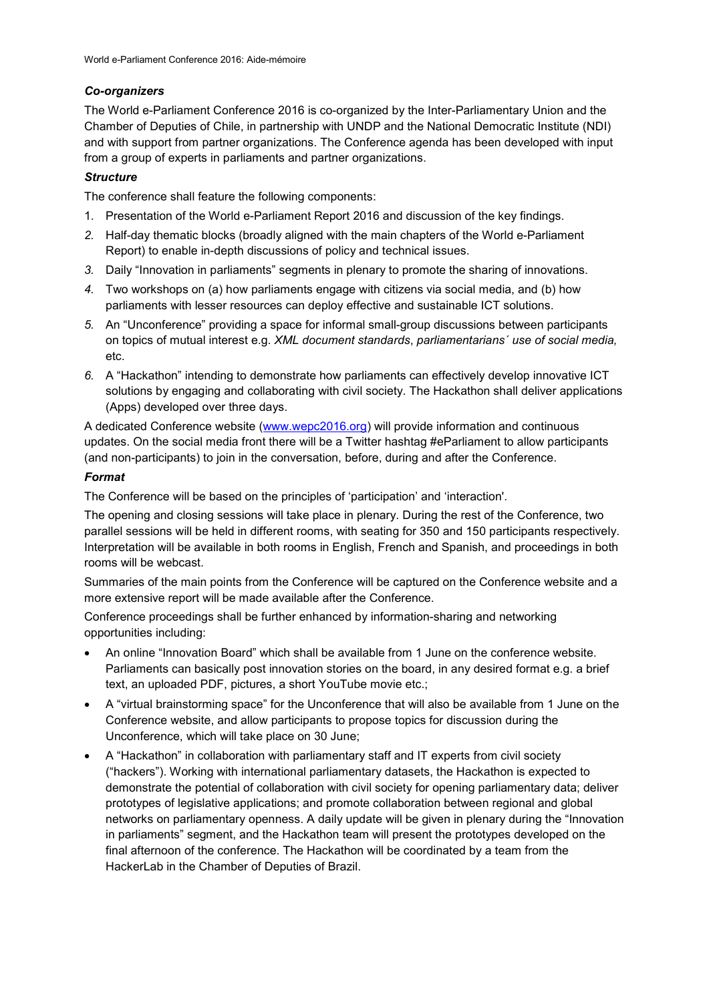# *Co-organizers*

The World e-Parliament Conference 2016 is co-organized by the Inter-Parliamentary Union and the Chamber of Deputies of Chile, in partnership with UNDP and the National Democratic Institute (NDI) and with support from partner organizations. The Conference agenda has been developed with input from a group of experts in parliaments and partner organizations.

#### *Structure*

The conference shall feature the following components:

- 1. Presentation of the World e-Parliament Report 2016 and discussion of the key findings.
- *2.* Half-day thematic blocks (broadly aligned with the main chapters of the World e-Parliament Report) to enable in-depth discussions of policy and technical issues.
- *3.* Daily "Innovation in parliaments" segments in plenary to promote the sharing of innovations.
- *4.* Two workshops on (a) how parliaments engage with citizens via social media, and (b) how parliaments with lesser resources can deploy effective and sustainable ICT solutions.
- *5.* An "Unconference" providing a space for informal small-group discussions between participants on topics of mutual interest e.g. *XML document standards*, *parliamentarians´ use of social media,* etc.
- *6.* A "Hackathon" intending to demonstrate how parliaments can effectively develop innovative ICT solutions by engaging and collaborating with civil society. The Hackathon shall deliver applications (Apps) developed over three days.

A dedicated Conference website (www.wepc2016.org) will provide information and continuous updates. On the social media front there will be a Twitter hashtag #eParliament to allow participants (and non-participants) to join in the conversation, before, during and after the Conference.

### *Format*

The Conference will be based on the principles of 'participation' and 'interaction'.

The opening and closing sessions will take place in plenary. During the rest of the Conference, two parallel sessions will be held in different rooms, with seating for 350 and 150 participants respectively. Interpretation will be available in both rooms in English, French and Spanish, and proceedings in both rooms will be webcast.

Summaries of the main points from the Conference will be captured on the Conference website and a more extensive report will be made available after the Conference.

Conference proceedings shall be further enhanced by information-sharing and networking opportunities including:

- An online "Innovation Board" which shall be available from 1 June on the conference website. Parliaments can basically post innovation stories on the board, in any desired format e.g. a brief text, an uploaded PDF, pictures, a short YouTube movie etc.;
- A "virtual brainstorming space" for the Unconference that will also be available from 1 June on the Conference website, and allow participants to propose topics for discussion during the Unconference, which will take place on 30 June;
- A "Hackathon" in collaboration with parliamentary staff and IT experts from civil society ("hackers"). Working with international parliamentary datasets, the Hackathon is expected to demonstrate the potential of collaboration with civil society for opening parliamentary data; deliver prototypes of legislative applications; and promote collaboration between regional and global networks on parliamentary openness. A daily update will be given in plenary during the "Innovation in parliaments" segment, and the Hackathon team will present the prototypes developed on the final afternoon of the conference. The Hackathon will be coordinated by a team from the HackerLab in the Chamber of Deputies of Brazil.